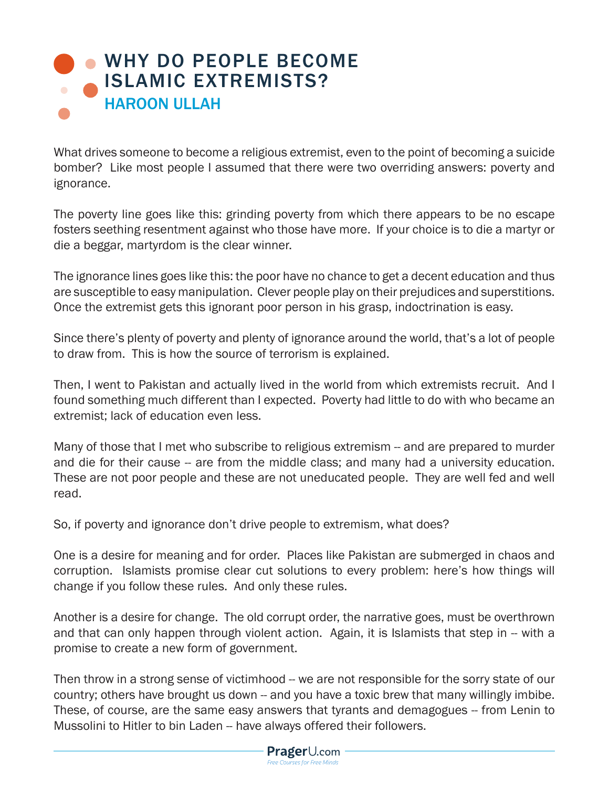## [WHY DO PEOPLE BECOME](https://www.prageru.com/courses/political-science/why-do-people-become-islamic-extremists) ISLAMIC EXTREMISTS? HAROON ULLAH

What drives someone to become a religious extremist, even to the point of becoming a suicide bomber? Like most people I assumed that there were two overriding answers: poverty and ignorance.

The poverty line goes like this: grinding poverty from which there appears to be no escape fosters seething resentment against who those have more. If your choice is to die a martyr or die a beggar, martyrdom is the clear winner.

The ignorance lines goes like this: the poor have no chance to get a decent education and thus are susceptible to easy manipulation. Clever people play on their prejudices and superstitions. Once the extremist gets this ignorant poor person in his grasp, indoctrination is easy.

Since there's plenty of poverty and plenty of ignorance around the world, that's a lot of people to draw from. This is how the source of terrorism is explained.

Then, I went to Pakistan and actually lived in the world from which extremists recruit. And I found something much different than I expected. Poverty had little to do with who became an extremist; lack of education even less.

Many of those that I met who subscribe to religious extremism -- and are prepared to murder and die for their cause -- are from the middle class; and many had a university education. These are not poor people and these are not uneducated people. They are well fed and well read.

So, if poverty and ignorance don't drive people to extremism, what does?

One is a desire for meaning and for order. Places like Pakistan are submerged in chaos and corruption. Islamists promise clear cut solutions to every problem: here's how things will change if you follow these rules. And only these rules.

Another is a desire for change. The old corrupt order, the narrative goes, must be overthrown and that can only happen through violent action. Again, it is Islamists that step in -- with a promise to create a new form of government.

Then throw in a strong sense of victimhood -- we are not responsible for the sorry state of our country; others have brought us down -- and you have a toxic brew that many willingly imbibe. These, of course, are the same easy answers that tyrants and demagogues -- from Lenin to Mussolini to Hitler to bin Laden -- have always offered their followers.